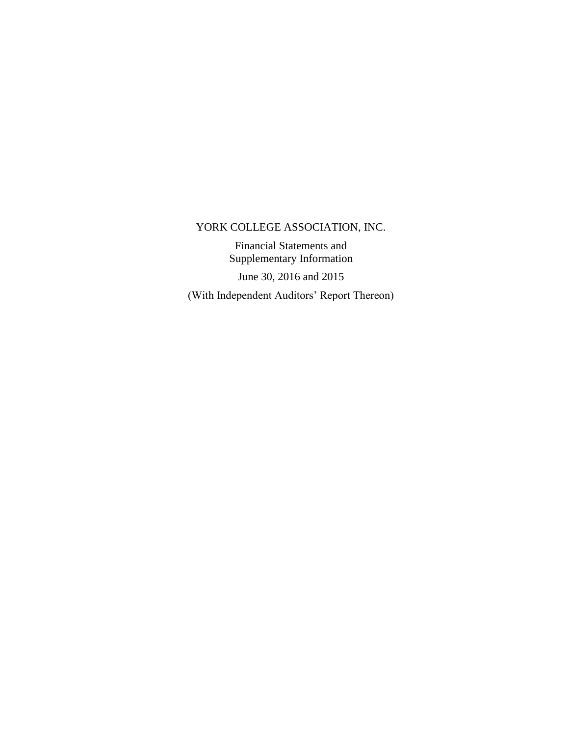Financial Statements and Supplementary Information

June 30, 2016 and 2015

(With Independent Auditors' Report Thereon)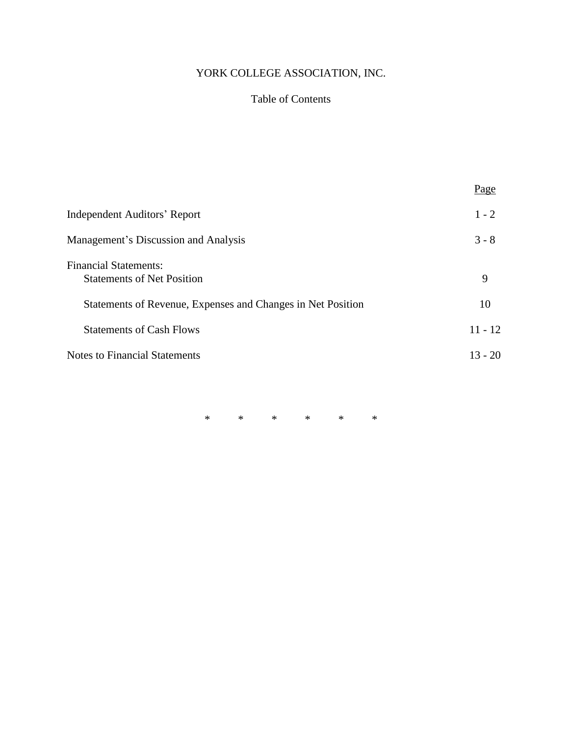## Table of Contents

|                                                                   | Page      |
|-------------------------------------------------------------------|-----------|
| <b>Independent Auditors' Report</b>                               | $1 - 2$   |
| <b>Management's Discussion and Analysis</b>                       | $3 - 8$   |
| <b>Financial Statements:</b><br><b>Statements of Net Position</b> | 9         |
| Statements of Revenue, Expenses and Changes in Net Position       | 10        |
| <b>Statements of Cash Flows</b>                                   | $11 - 12$ |
| <b>Notes to Financial Statements</b>                              | $13 - 20$ |
|                                                                   |           |

\* \* \* \* \* \*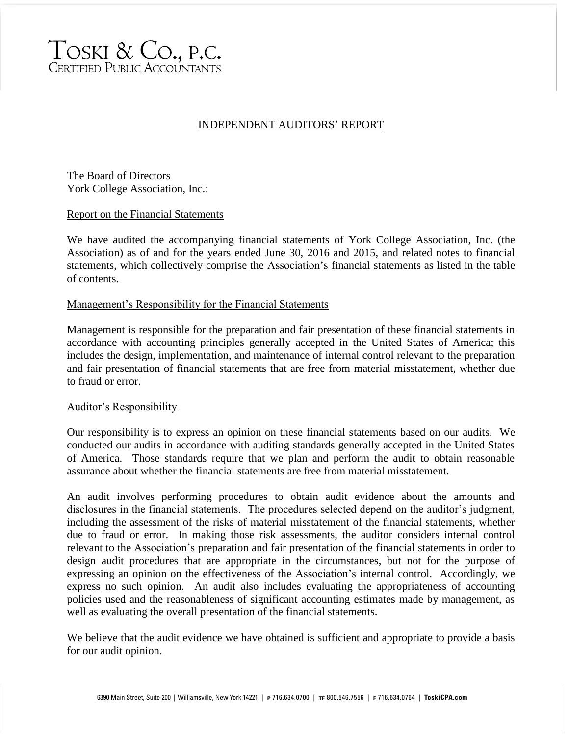

## INDEPENDENT AUDITORS' REPORT

The Board of Directors York College Association, Inc.:

### Report on the Financial Statements

We have audited the accompanying financial statements of York College Association, Inc. (the Association) as of and for the years ended June 30, 2016 and 2015, and related notes to financial statements, which collectively comprise the Association's financial statements as listed in the table of contents.

### Management's Responsibility for the Financial Statements

Management is responsible for the preparation and fair presentation of these financial statements in accordance with accounting principles generally accepted in the United States of America; this includes the design, implementation, and maintenance of internal control relevant to the preparation and fair presentation of financial statements that are free from material misstatement, whether due to fraud or error.

#### Auditor's Responsibility

Our responsibility is to express an opinion on these financial statements based on our audits. We conducted our audits in accordance with auditing standards generally accepted in the United States of America. Those standards require that we plan and perform the audit to obtain reasonable assurance about whether the financial statements are free from material misstatement.

An audit involves performing procedures to obtain audit evidence about the amounts and disclosures in the financial statements. The procedures selected depend on the auditor's judgment, including the assessment of the risks of material misstatement of the financial statements, whether due to fraud or error. In making those risk assessments, the auditor considers internal control relevant to the Association's preparation and fair presentation of the financial statements in order to design audit procedures that are appropriate in the circumstances, but not for the purpose of expressing an opinion on the effectiveness of the Association's internal control. Accordingly, we express no such opinion. An audit also includes evaluating the appropriateness of accounting policies used and the reasonableness of significant accounting estimates made by management, as well as evaluating the overall presentation of the financial statements.

We believe that the audit evidence we have obtained is sufficient and appropriate to provide a basis for our audit opinion.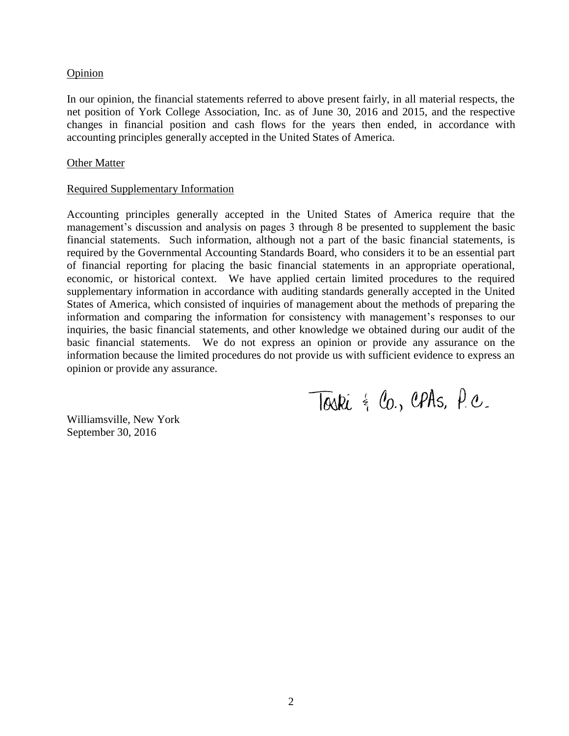### Opinion

In our opinion, the financial statements referred to above present fairly, in all material respects, the net position of York College Association, Inc. as of June 30, 2016 and 2015, and the respective changes in financial position and cash flows for the years then ended, in accordance with accounting principles generally accepted in the United States of America.

#### Other Matter

### Required Supplementary Information

Accounting principles generally accepted in the United States of America require that the management's discussion and analysis on pages 3 through 8 be presented to supplement the basic financial statements. Such information, although not a part of the basic financial statements, is required by the Governmental Accounting Standards Board, who considers it to be an essential part of financial reporting for placing the basic financial statements in an appropriate operational, economic, or historical context. We have applied certain limited procedures to the required supplementary information in accordance with auditing standards generally accepted in the United States of America, which consisted of inquiries of management about the methods of preparing the information and comparing the information for consistency with management's responses to our inquiries, the basic financial statements, and other knowledge we obtained during our audit of the basic financial statements. We do not express an opinion or provide any assurance on the information because the limited procedures do not provide us with sufficient evidence to express an opinion or provide any assurance.

Torki  $\frac{1}{2}$  Co., CPAs, P.C.

Williamsville, New York September 30, 2016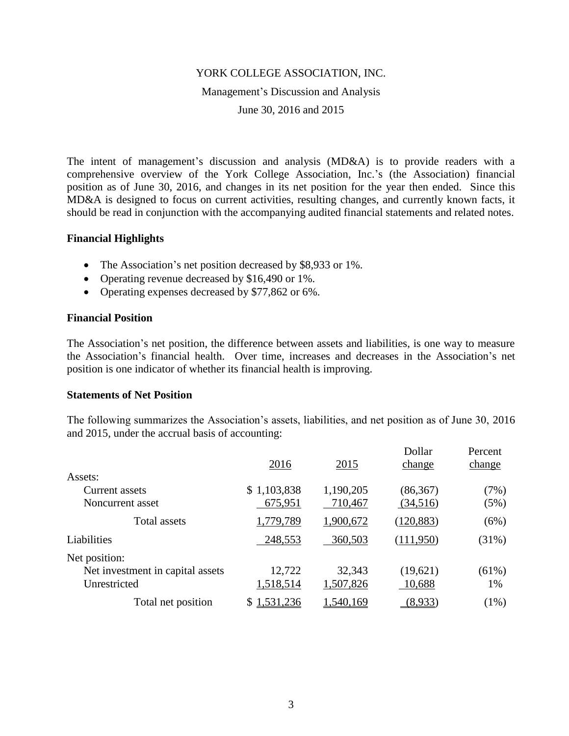Management's Discussion and Analysis June 30, 2016 and 2015

The intent of management's discussion and analysis (MD&A) is to provide readers with a comprehensive overview of the York College Association, Inc.'s (the Association) financial position as of June 30, 2016, and changes in its net position for the year then ended. Since this MD&A is designed to focus on current activities, resulting changes, and currently known facts, it should be read in conjunction with the accompanying audited financial statements and related notes.

### **Financial Highlights**

- The Association's net position decreased by \$8,933 or 1%.
- Operating revenue decreased by \$16,490 or 1%.
- Operating expenses decreased by \$77,862 or 6%.

### **Financial Position**

The Association's net position, the difference between assets and liabilities, is one way to measure the Association's financial health. Over time, increases and decreases in the Association's net position is one indicator of whether its financial health is improving.

#### **Statements of Net Position**

The following summarizes the Association's assets, liabilities, and net position as of June 30, 2016 and 2015, under the accrual basis of accounting:

|                                  | 2016            | 2015      | Dollar<br>change | Percent<br>change |
|----------------------------------|-----------------|-----------|------------------|-------------------|
| Assets:                          |                 |           |                  |                   |
| Current assets                   | \$1,103,838     | 1,190,205 | (86, 367)        | (7%)              |
| Noncurrent asset                 | 675,951         | 710,467   | (34,516)         | (5%)              |
| Total assets                     | 1,779,789       | 1,900,672 | (120, 883)       | (6%)              |
| Liabilities                      | 248,553         | 360,503   | (111,950)        | (31%)             |
| Net position:                    |                 |           |                  |                   |
| Net investment in capital assets | 12,722          | 32,343    | (19,621)         | (61%)             |
| Unrestricted                     | 1,518,514       | 1,507,826 | 10,688           | 1%                |
| Total net position               | 1,531,236<br>\$ | 1,540,169 | (8,933)          | $(1\%)$           |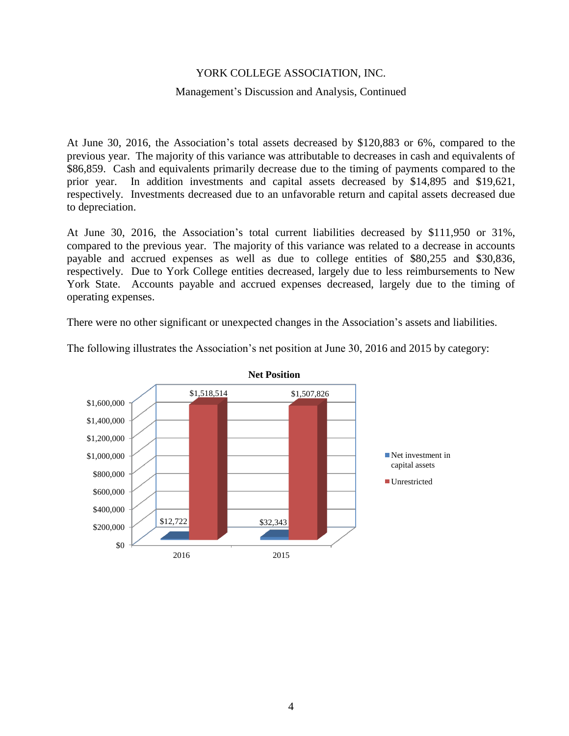#### Management's Discussion and Analysis, Continued

At June 30, 2016, the Association's total assets decreased by \$120,883 or 6%, compared to the previous year. The majority of this variance was attributable to decreases in cash and equivalents of \$86,859. Cash and equivalents primarily decrease due to the timing of payments compared to the prior year. In addition investments and capital assets decreased by \$14,895 and \$19,621, respectively. Investments decreased due to an unfavorable return and capital assets decreased due to depreciation.

At June 30, 2016, the Association's total current liabilities decreased by \$111,950 or 31%, compared to the previous year. The majority of this variance was related to a decrease in accounts payable and accrued expenses as well as due to college entities of \$80,255 and \$30,836, respectively. Due to York College entities decreased, largely due to less reimbursements to New York State. Accounts payable and accrued expenses decreased, largely due to the timing of operating expenses.

There were no other significant or unexpected changes in the Association's assets and liabilities.



The following illustrates the Association's net position at June 30, 2016 and 2015 by category: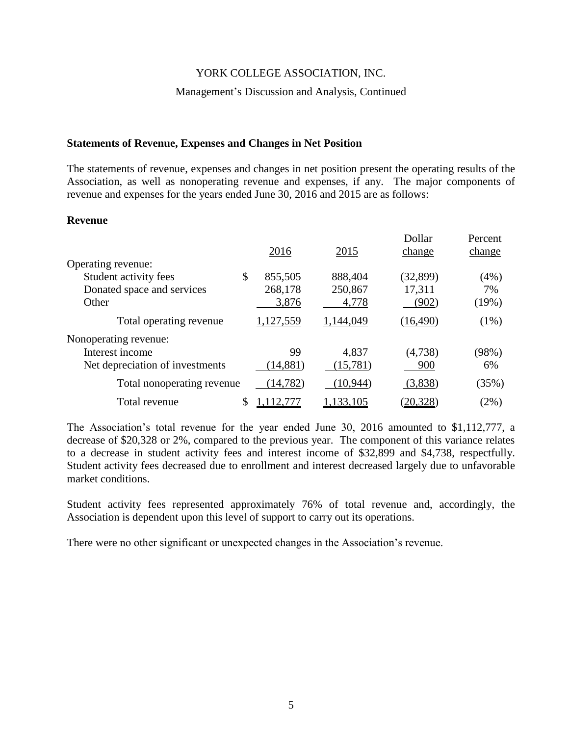#### Management's Discussion and Analysis, Continued

#### **Statements of Revenue, Expenses and Changes in Net Position**

The statements of revenue, expenses and changes in net position present the operating results of the Association, as well as nonoperating revenue and expenses, if any. The major components of revenue and expenses for the years ended June 30, 2016 and 2015 are as follows:

#### **Revenue**

|                                 |               |           | Dollar    | Percent |
|---------------------------------|---------------|-----------|-----------|---------|
|                                 | 2016          | 2015      | change    | change  |
| Operating revenue:              |               |           |           |         |
| Student activity fees           | \$<br>855,505 | 888,404   | (32, 899) | (4%)    |
| Donated space and services      | 268,178       | 250,867   | 17,311    | 7%      |
| Other                           | 3,876         | 4,778     | (902)     | (19%)   |
| Total operating revenue         | 1,127,559     | 1,144,049 | (16, 490) | $(1\%)$ |
| Nonoperating revenue:           |               |           |           |         |
| Interest income                 | 99            | 4,837     | (4,738)   | (98%)   |
| Net depreciation of investments | 14,881)       | (15,781)  | 900       | 6%      |
| Total nonoperating revenue      | 14,782)       | (10, 944) | (3,838)   | (35%)   |
| Total revenue                   | \$            | 1,133,105 | (20, 328) | (2%)    |

The Association's total revenue for the year ended June 30, 2016 amounted to \$1,112,777, a decrease of \$20,328 or 2%, compared to the previous year. The component of this variance relates to a decrease in student activity fees and interest income of \$32,899 and \$4,738, respectfully. Student activity fees decreased due to enrollment and interest decreased largely due to unfavorable market conditions.

Student activity fees represented approximately 76% of total revenue and, accordingly, the Association is dependent upon this level of support to carry out its operations.

There were no other significant or unexpected changes in the Association's revenue.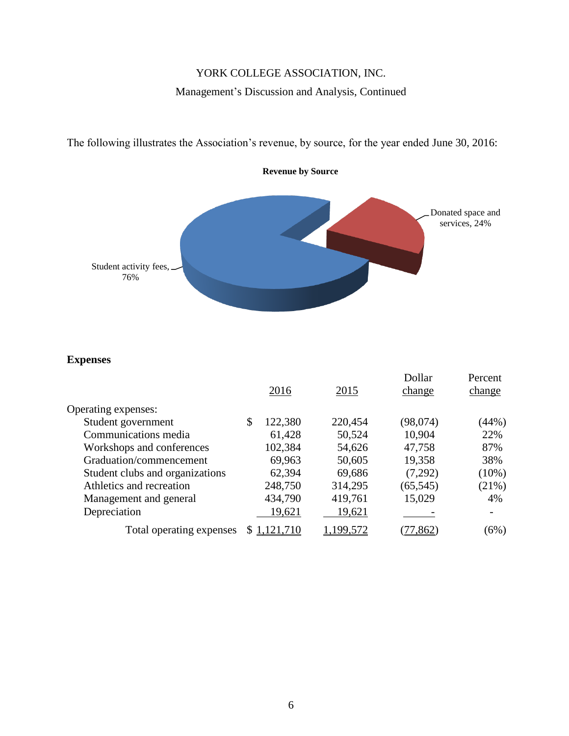## Management's Discussion and Analysis, Continued



The following illustrates the Association's revenue, by source, for the year ended June 30, 2016:

## **Expenses**

|                                 | 2016        | 2015      | Dollar<br>change | Percent<br>change |
|---------------------------------|-------------|-----------|------------------|-------------------|
| Operating expenses:             |             |           |                  |                   |
| Student government              | 122,380     | 220,454   | (98,074)         | (44%)             |
| Communications media            | 61,428      | 50,524    | 10,904           | 22%               |
| Workshops and conferences       | 102,384     | 54,626    | 47,758           | 87%               |
| Graduation/commencement         | 69,963      | 50,605    | 19,358           | 38%               |
| Student clubs and organizations | 62,394      | 69,686    | (7,292)          | $(10\%)$          |
| Athletics and recreation        | 248,750     | 314,295   | (65, 545)        | (21%)             |
| Management and general          | 434,790     | 419,761   | 15,029           | 4%                |
| Depreciation                    | 19,621      | 19,621    |                  |                   |
| Total operating expenses        | \$1,121,710 | 1,199,572 | 77,862)          | (6%)              |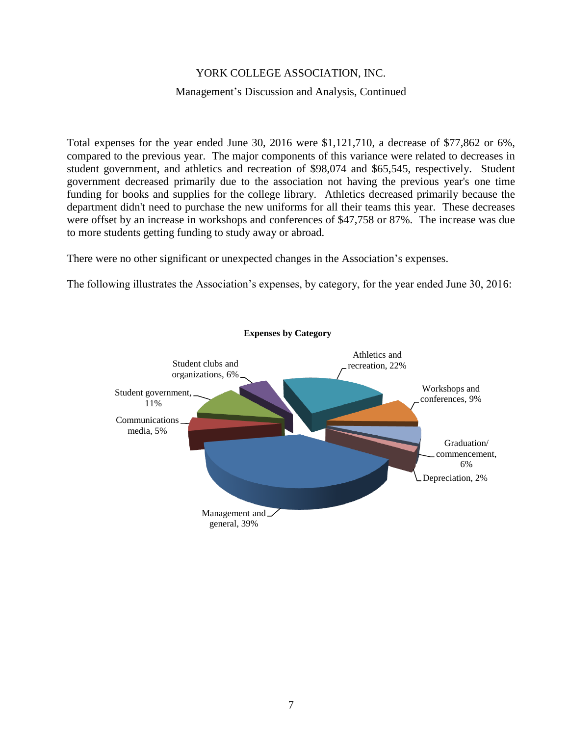## Management's Discussion and Analysis, Continued

Total expenses for the year ended June 30, 2016 were \$1,121,710, a decrease of \$77,862 or 6%, compared to the previous year. The major components of this variance were related to decreases in student government, and athletics and recreation of \$98,074 and \$65,545, respectively. Student government decreased primarily due to the association not having the previous year's one time funding for books and supplies for the college library. Athletics decreased primarily because the department didn't need to purchase the new uniforms for all their teams this year. These decreases were offset by an increase in workshops and conferences of \$47,758 or 87%. The increase was due to more students getting funding to study away or abroad.

There were no other significant or unexpected changes in the Association's expenses.

The following illustrates the Association's expenses, by category, for the year ended June 30, 2016:

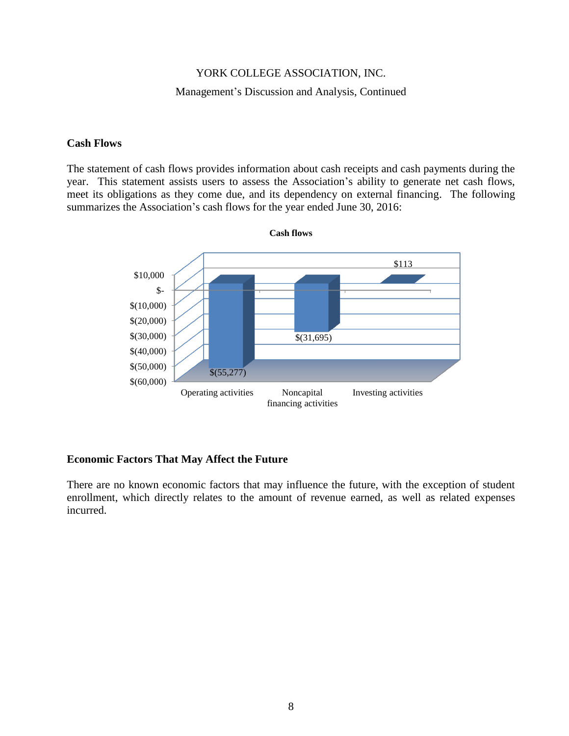Management's Discussion and Analysis, Continued

## **Cash Flows**

The statement of cash flows provides information about cash receipts and cash payments during the year. This statement assists users to assess the Association's ability to generate net cash flows, meet its obligations as they come due, and its dependency on external financing. The following summarizes the Association's cash flows for the year ended June 30, 2016:



#### **Economic Factors That May Affect the Future**

There are no known economic factors that may influence the future, with the exception of student enrollment, which directly relates to the amount of revenue earned, as well as related expenses incurred.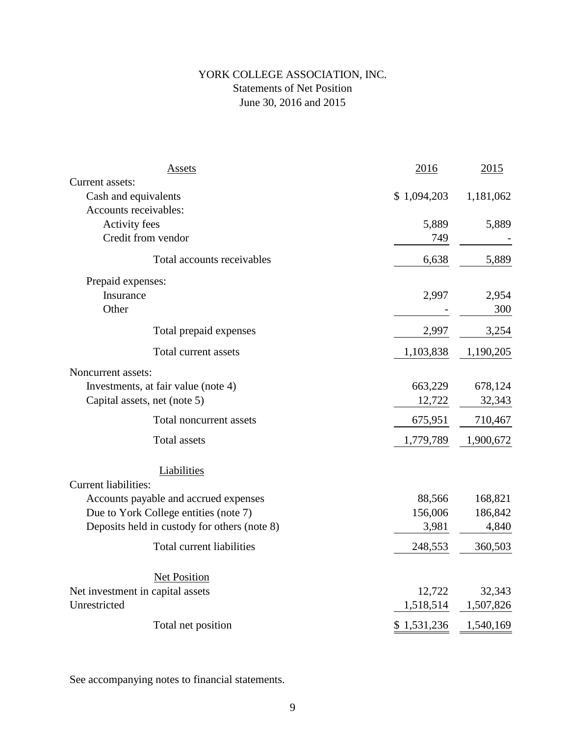## YORK COLLEGE ASSOCIATION, INC. Statements of Net Position June 30, 2016 and 2015

| <u>Assets</u>                                | 2016        | 2015      |
|----------------------------------------------|-------------|-----------|
| Current assets:                              |             |           |
| Cash and equivalents                         | \$1,094,203 | 1,181,062 |
| Accounts receivables:                        |             |           |
| Activity fees                                | 5,889       | 5,889     |
| Credit from vendor                           | 749         |           |
| Total accounts receivables                   | 6,638       | 5,889     |
| Prepaid expenses:                            |             |           |
| Insurance                                    | 2,997       | 2,954     |
| Other                                        |             | 300       |
| Total prepaid expenses                       | 2,997       | 3,254     |
| Total current assets                         | 1,103,838   | 1,190,205 |
| Noncurrent assets:                           |             |           |
| Investments, at fair value (note 4)          | 663,229     | 678,124   |
| Capital assets, net (note 5)                 | 12,722      | 32,343    |
| Total noncurrent assets                      | 675,951     | 710,467   |
| <b>Total assets</b>                          | 1,779,789   | 1,900,672 |
| <b>Liabilities</b>                           |             |           |
| <b>Current liabilities:</b>                  |             |           |
| Accounts payable and accrued expenses        | 88,566      | 168,821   |
| Due to York College entities (note 7)        | 156,006     | 186,842   |
| Deposits held in custody for others (note 8) | 3,981       | 4,840     |
| Total current liabilities                    | 248,553     | 360,503   |
| Net Position                                 |             |           |
| Net investment in capital assets             | 12,722      | 32,343    |
| Unrestricted                                 | 1,518,514   | 1,507,826 |
| Total net position                           | \$1,531,236 | 1,540,169 |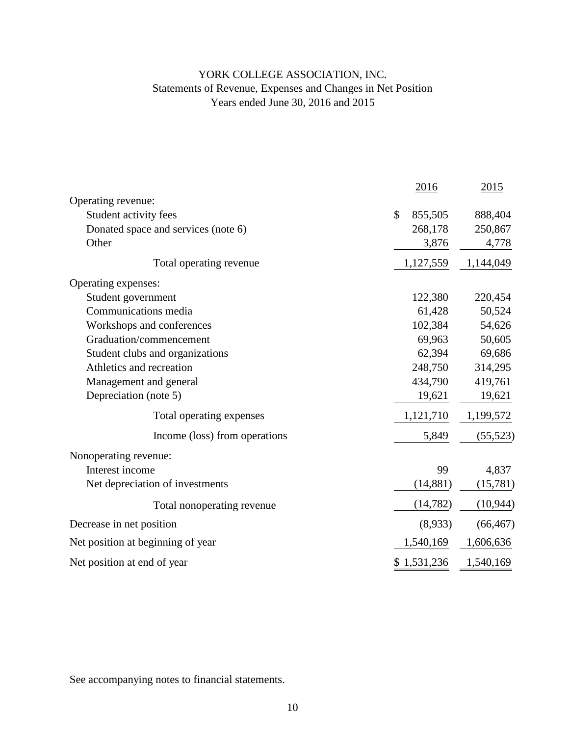# YORK COLLEGE ASSOCIATION, INC. Statements of Revenue, Expenses and Changes in Net Position Years ended June 30, 2016 and 2015

|                                     | 2016          | 2015      |
|-------------------------------------|---------------|-----------|
| Operating revenue:                  |               |           |
| Student activity fees               | \$<br>855,505 | 888,404   |
| Donated space and services (note 6) | 268,178       | 250,867   |
| Other                               | 3,876         | 4,778     |
| Total operating revenue             | 1,127,559     | 1,144,049 |
| Operating expenses:                 |               |           |
| Student government                  | 122,380       | 220,454   |
| Communications media                | 61,428        | 50,524    |
| Workshops and conferences           | 102,384       | 54,626    |
| Graduation/commencement             | 69,963        | 50,605    |
| Student clubs and organizations     | 62,394        | 69,686    |
| Athletics and recreation            | 248,750       | 314,295   |
| Management and general              | 434,790       | 419,761   |
| Depreciation (note 5)               | 19,621        | 19,621    |
| Total operating expenses            | 1,121,710     | 1,199,572 |
| Income (loss) from operations       | 5,849         | (55, 523) |
| Nonoperating revenue:               |               |           |
| Interest income                     | 99            | 4,837     |
| Net depreciation of investments     | (14, 881)     | (15,781)  |
| Total nonoperating revenue          | (14, 782)     | (10, 944) |
| Decrease in net position            | (8,933)       | (66, 467) |
| Net position at beginning of year   | 1,540,169     | 1,606,636 |
| Net position at end of year         | \$1,531,236   | 1,540,169 |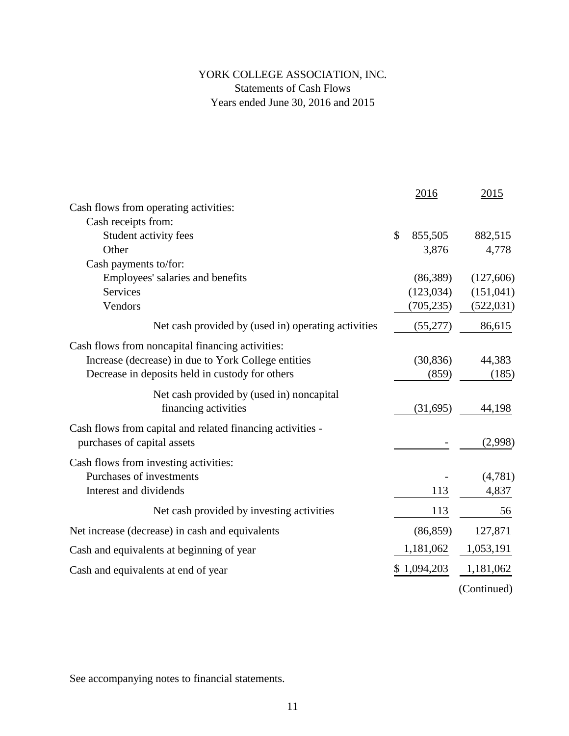## Statements of Cash Flows Years ended June 30, 2016 and 2015 YORK COLLEGE ASSOCIATION, INC.

|                                                            | 2016          | 2015                    |
|------------------------------------------------------------|---------------|-------------------------|
| Cash flows from operating activities:                      |               |                         |
| Cash receipts from:                                        |               |                         |
| Student activity fees                                      | \$<br>855,505 | 882,515                 |
| Other                                                      | 3,876         | 4,778                   |
| Cash payments to/for:                                      |               |                         |
| Employees' salaries and benefits                           | (86,389)      | (127,606)               |
| <b>Services</b>                                            | (123, 034)    | (151, 041)              |
| Vendors                                                    | (705, 235)    | (522, 031)              |
| Net cash provided by (used in) operating activities        | (55,277)      | 86,615                  |
| Cash flows from noncapital financing activities:           |               |                         |
| Increase (decrease) in due to York College entities        | (30, 836)     | 44,383                  |
| Decrease in deposits held in custody for others            | (859)         | (185)                   |
| Net cash provided by (used in) noncapital                  |               |                         |
| financing activities                                       | (31,695)      | 44,198                  |
| Cash flows from capital and related financing activities - |               |                         |
| purchases of capital assets                                |               | (2,998)                 |
| Cash flows from investing activities:                      |               |                         |
| Purchases of investments                                   |               | (4,781)                 |
| Interest and dividends                                     | 113           | 4,837                   |
| Net cash provided by investing activities                  | 113           | 56                      |
| Net increase (decrease) in cash and equivalents            | (86, 859)     | 127,871                 |
| Cash and equivalents at beginning of year                  | 1,181,062     | 1,053,191               |
| Cash and equivalents at end of year                        | \$1,094,203   | 1,181,062               |
|                                                            |               | $(\bigcap_{i=1}^n A_i)$ |

(Continued)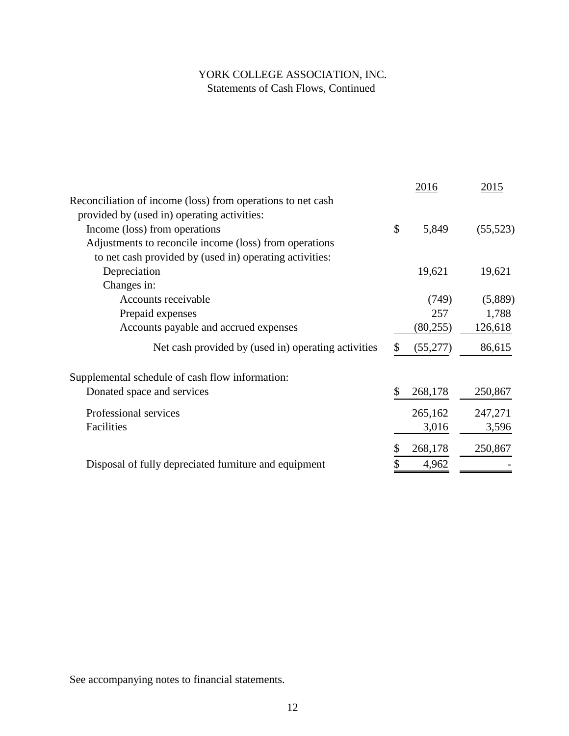# YORK COLLEGE ASSOCIATION, INC. Statements of Cash Flows, Continued

|                                                             | 2016          | 2015      |
|-------------------------------------------------------------|---------------|-----------|
| Reconciliation of income (loss) from operations to net cash |               |           |
| provided by (used in) operating activities:                 |               |           |
| Income (loss) from operations                               | \$<br>5,849   | (55, 523) |
| Adjustments to reconcile income (loss) from operations      |               |           |
| to net cash provided by (used in) operating activities:     |               |           |
| Depreciation                                                | 19,621        | 19,621    |
| Changes in:                                                 |               |           |
| Accounts receivable                                         | (749)         | (5,889)   |
| Prepaid expenses                                            | 257           | 1,788     |
| Accounts payable and accrued expenses                       | (80,255)      | 126,618   |
| Net cash provided by (used in) operating activities         | (55,277)      | 86,615    |
| Supplemental schedule of cash flow information:             |               |           |
| Donated space and services                                  | \$<br>268,178 | 250,867   |
| Professional services                                       | 265,162       | 247,271   |
| Facilities                                                  | 3,016         | 3,596     |
|                                                             | 268,178       | 250,867   |
| Disposal of fully depreciated furniture and equipment       | \$<br>4,962   |           |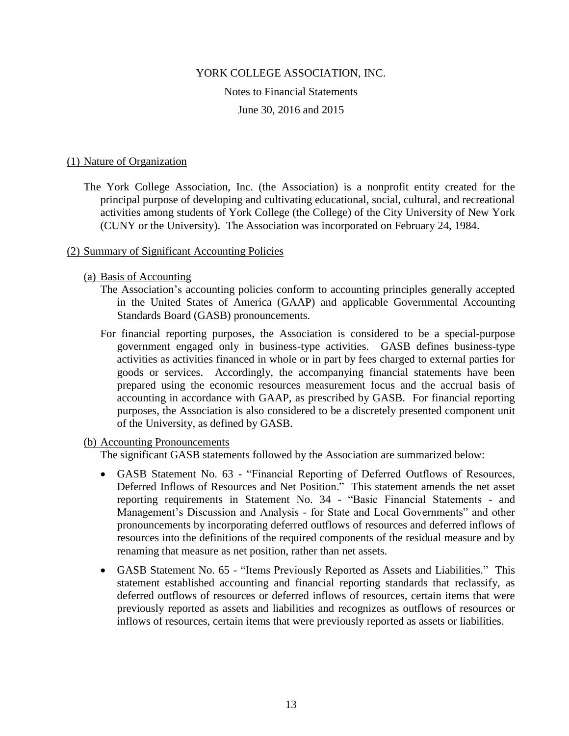Notes to Financial Statements June 30, 2016 and 2015

#### (1) Nature of Organization

The York College Association, Inc. (the Association) is a nonprofit entity created for the principal purpose of developing and cultivating educational, social, cultural, and recreational activities among students of York College (the College) of the City University of New York (CUNY or the University). The Association was incorporated on February 24, 1984.

### (2) Summary of Significant Accounting Policies

### (a) Basis of Accounting

- The Association's accounting policies conform to accounting principles generally accepted in the United States of America (GAAP) and applicable Governmental Accounting Standards Board (GASB) pronouncements.
- For financial reporting purposes, the Association is considered to be a special-purpose government engaged only in business-type activities. GASB defines business-type activities as activities financed in whole or in part by fees charged to external parties for goods or services. Accordingly, the accompanying financial statements have been prepared using the economic resources measurement focus and the accrual basis of accounting in accordance with GAAP, as prescribed by GASB. For financial reporting purposes, the Association is also considered to be a discretely presented component unit of the University, as defined by GASB.

#### (b) Accounting Pronouncements

The significant GASB statements followed by the Association are summarized below:

- GASB Statement No. 63 "Financial Reporting of Deferred Outflows of Resources, Deferred Inflows of Resources and Net Position." This statement amends the net asset reporting requirements in Statement No. 34 - "Basic Financial Statements - and Management's Discussion and Analysis - for State and Local Governments" and other pronouncements by incorporating deferred outflows of resources and deferred inflows of resources into the definitions of the required components of the residual measure and by renaming that measure as net position, rather than net assets.
- GASB Statement No. 65 "Items Previously Reported as Assets and Liabilities." This statement established accounting and financial reporting standards that reclassify, as deferred outflows of resources or deferred inflows of resources, certain items that were previously reported as assets and liabilities and recognizes as outflows of resources or inflows of resources, certain items that were previously reported as assets or liabilities.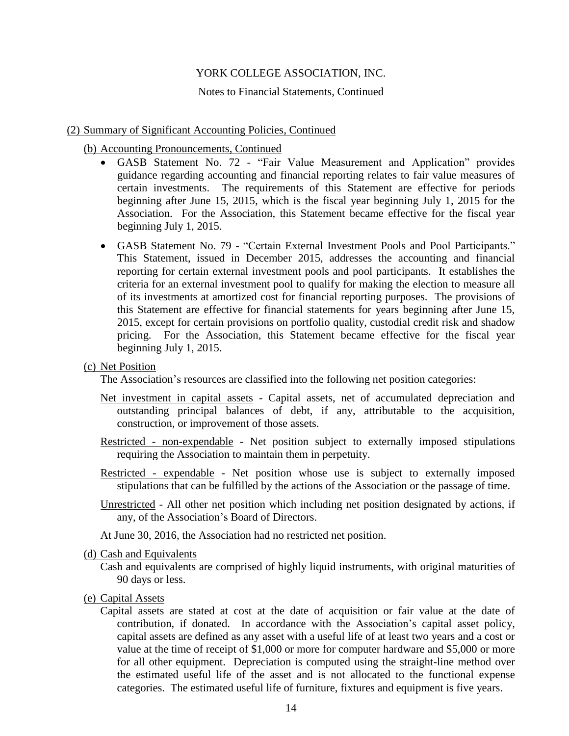#### Notes to Financial Statements, Continued

### (2) Summary of Significant Accounting Policies, Continued

- (b) Accounting Pronouncements, Continued
	- GASB Statement No. 72 "Fair Value Measurement and Application" provides guidance regarding accounting and financial reporting relates to fair value measures of certain investments. The requirements of this Statement are effective for periods beginning after June 15, 2015, which is the fiscal year beginning July 1, 2015 for the Association. For the Association, this Statement became effective for the fiscal year beginning July 1, 2015.
	- GASB Statement No. 79 "Certain External Investment Pools and Pool Participants." This Statement, issued in December 2015, addresses the accounting and financial reporting for certain external investment pools and pool participants. It establishes the criteria for an external investment pool to qualify for making the election to measure all of its investments at amortized cost for financial reporting purposes. The provisions of this Statement are effective for financial statements for years beginning after June 15, 2015, except for certain provisions on portfolio quality, custodial credit risk and shadow pricing. For the Association, this Statement became effective for the fiscal year beginning July 1, 2015.

#### (c) Net Position

The Association's resources are classified into the following net position categories:

- Net investment in capital assets Capital assets, net of accumulated depreciation and outstanding principal balances of debt, if any, attributable to the acquisition, construction, or improvement of those assets.
- Restricted non-expendable Net position subject to externally imposed stipulations requiring the Association to maintain them in perpetuity.
- Restricted expendable Net position whose use is subject to externally imposed stipulations that can be fulfilled by the actions of the Association or the passage of time.
- Unrestricted All other net position which including net position designated by actions, if any, of the Association's Board of Directors.
- At June 30, 2016, the Association had no restricted net position.

#### (d) Cash and Equivalents

Cash and equivalents are comprised of highly liquid instruments, with original maturities of 90 days or less.

## (e) Capital Assets

Capital assets are stated at cost at the date of acquisition or fair value at the date of contribution, if donated. In accordance with the Association's capital asset policy, capital assets are defined as any asset with a useful life of at least two years and a cost or value at the time of receipt of \$1,000 or more for computer hardware and \$5,000 or more for all other equipment. Depreciation is computed using the straight-line method over the estimated useful life of the asset and is not allocated to the functional expense categories. The estimated useful life of furniture, fixtures and equipment is five years.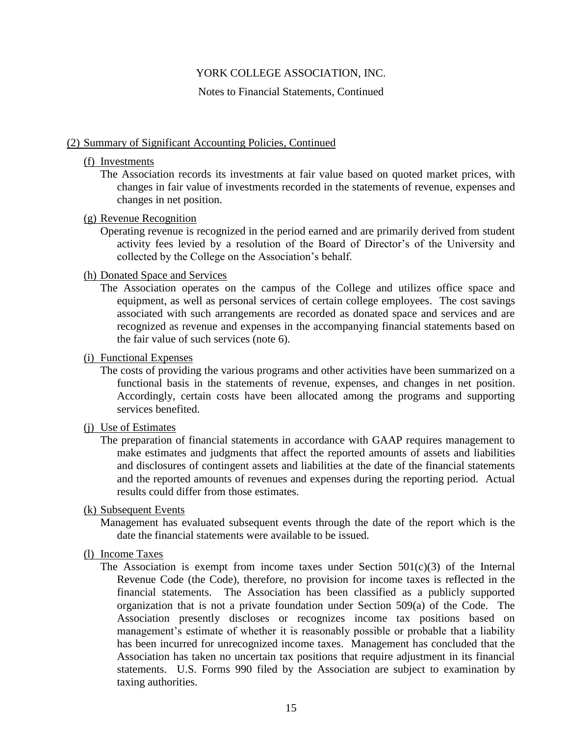### Notes to Financial Statements, Continued

## (2) Summary of Significant Accounting Policies, Continued

#### (f) Investments

The Association records its investments at fair value based on quoted market prices, with changes in fair value of investments recorded in the statements of revenue, expenses and changes in net position.

#### (g) Revenue Recognition

Operating revenue is recognized in the period earned and are primarily derived from student activity fees levied by a resolution of the Board of Director's of the University and collected by the College on the Association's behalf.

#### (h) Donated Space and Services

The Association operates on the campus of the College and utilizes office space and equipment, as well as personal services of certain college employees. The cost savings associated with such arrangements are recorded as donated space and services and are recognized as revenue and expenses in the accompanying financial statements based on the fair value of such services (note 6).

#### (i) Functional Expenses

The costs of providing the various programs and other activities have been summarized on a functional basis in the statements of revenue, expenses, and changes in net position. Accordingly, certain costs have been allocated among the programs and supporting services benefited.

#### (j) Use of Estimates

The preparation of financial statements in accordance with GAAP requires management to make estimates and judgments that affect the reported amounts of assets and liabilities and disclosures of contingent assets and liabilities at the date of the financial statements and the reported amounts of revenues and expenses during the reporting period. Actual results could differ from those estimates.

#### (k) Subsequent Events

Management has evaluated subsequent events through the date of the report which is the date the financial statements were available to be issued.

## (l) Income Taxes

The Association is exempt from income taxes under Section  $501(c)(3)$  of the Internal Revenue Code (the Code), therefore, no provision for income taxes is reflected in the financial statements. The Association has been classified as a publicly supported organization that is not a private foundation under Section 509(a) of the Code. The Association presently discloses or recognizes income tax positions based on management's estimate of whether it is reasonably possible or probable that a liability has been incurred for unrecognized income taxes. Management has concluded that the Association has taken no uncertain tax positions that require adjustment in its financial statements. U.S. Forms 990 filed by the Association are subject to examination by taxing authorities.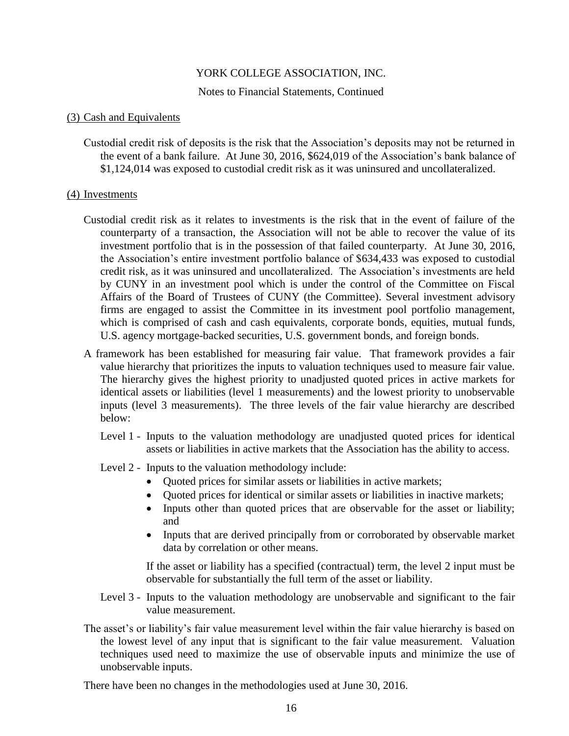### Notes to Financial Statements, Continued

### (3) Cash and Equivalents

Custodial credit risk of deposits is the risk that the Association's deposits may not be returned in the event of a bank failure. At June 30, 2016, \$624,019 of the Association's bank balance of \$1,124,014 was exposed to custodial credit risk as it was uninsured and uncollateralized.

### (4) Investments

- Custodial credit risk as it relates to investments is the risk that in the event of failure of the counterparty of a transaction, the Association will not be able to recover the value of its investment portfolio that is in the possession of that failed counterparty. At June 30, 2016, the Association's entire investment portfolio balance of \$634,433 was exposed to custodial credit risk, as it was uninsured and uncollateralized. The Association's investments are held by CUNY in an investment pool which is under the control of the Committee on Fiscal Affairs of the Board of Trustees of CUNY (the Committee). Several investment advisory firms are engaged to assist the Committee in its investment pool portfolio management, which is comprised of cash and cash equivalents, corporate bonds, equities, mutual funds, U.S. agency mortgage-backed securities, U.S. government bonds, and foreign bonds.
- A framework has been established for measuring fair value. That framework provides a fair value hierarchy that prioritizes the inputs to valuation techniques used to measure fair value. The hierarchy gives the highest priority to unadjusted quoted prices in active markets for identical assets or liabilities (level 1 measurements) and the lowest priority to unobservable inputs (level 3 measurements). The three levels of the fair value hierarchy are described below:
	- Level 1 Inputs to the valuation methodology are unadjusted quoted prices for identical assets or liabilities in active markets that the Association has the ability to access.
	- Level 2 Inputs to the valuation methodology include:
		- Quoted prices for similar assets or liabilities in active markets;
		- Quoted prices for identical or similar assets or liabilities in inactive markets;
		- Inputs other than quoted prices that are observable for the asset or liability; and
		- Inputs that are derived principally from or corroborated by observable market data by correlation or other means.

If the asset or liability has a specified (contractual) term, the level 2 input must be observable for substantially the full term of the asset or liability.

- Level 3 Inputs to the valuation methodology are unobservable and significant to the fair value measurement.
- The asset's or liability's fair value measurement level within the fair value hierarchy is based on the lowest level of any input that is significant to the fair value measurement. Valuation techniques used need to maximize the use of observable inputs and minimize the use of unobservable inputs.

There have been no changes in the methodologies used at June 30, 2016.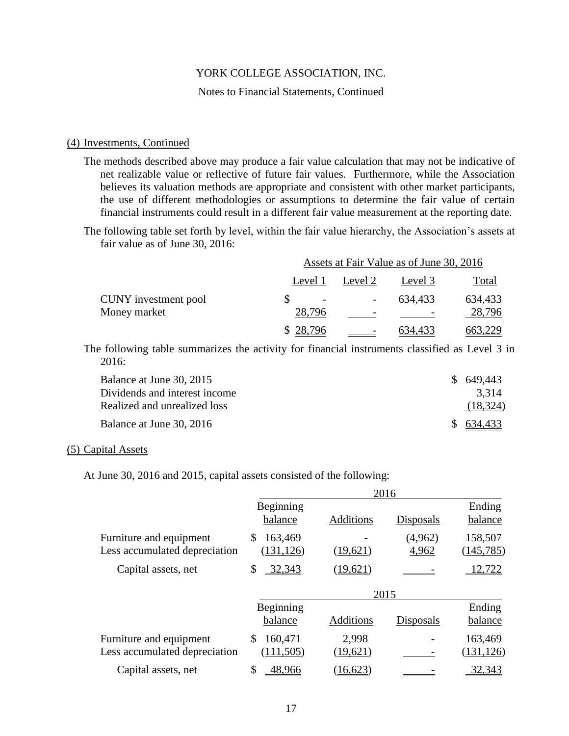## Notes to Financial Statements, Continued

#### (4) Investments, Continued

The methods described above may produce a fair value calculation that may not be indicative of net realizable value or reflective of future fair values. Furthermore, while the Association believes its valuation methods are appropriate and consistent with other market participants, the use of different methodologies or assumptions to determine the fair value of certain financial instruments could result in a different fair value measurement at the reporting date.

The following table set forth by level, within the fair value hierarchy, the Association's assets at fair value as of June 30, 2016:

|                      | Assets at Fair Value as of June 30, 2016 |                              |         |         |
|----------------------|------------------------------------------|------------------------------|---------|---------|
|                      | Level 1                                  | Level 2                      | Level 3 | Total   |
| CUNY investment pool | -                                        |                              | 634,433 | 634,433 |
| Money market         | 28,796                                   |                              |         | 28,796  |
|                      | 28,796                                   | $\qquad \qquad \blacksquare$ | 634.433 |         |

The following table summarizes the activity for financial instruments classified as Level 3 in 2016:

| Balance at June 30, 2015      | \$649,443 |
|-------------------------------|-----------|
| Dividends and interest income | 3.314     |
| Realized and unrealized loss  | (18,324)  |
| Balance at June 30, 2016      | \$634,433 |

#### (5) Capital Assets

At June 30, 2016 and 2015, capital assets consisted of the following:

|                                                          | 2016                        |                    |                  |                       |
|----------------------------------------------------------|-----------------------------|--------------------|------------------|-----------------------|
|                                                          | Beginning<br>balance        | Additions          | Disposals        | Ending<br>balance     |
| Furniture and equipment<br>Less accumulated depreciation | 163,469<br>\$<br>(131, 126) | (19, 621)          | (4,962)<br>4,962 | 158,507<br>(145, 785) |
| Capital assets, net                                      | \$<br>32,343                | <u>(19,621)</u>    |                  | <u>12,722</u>         |
|                                                          |                             | 2015               |                  |                       |
|                                                          | Beginning<br>balance        | <b>Additions</b>   | Disposals        | Ending<br>balance     |
| Furniture and equipment<br>Less accumulated depreciation | 160,471<br>S<br>(111, 505)  | 2,998<br>(19, 621) |                  | 163,469<br>(131, 126) |
| Capital assets, net                                      | \$<br>48,966                | 16,623             |                  | 32,343                |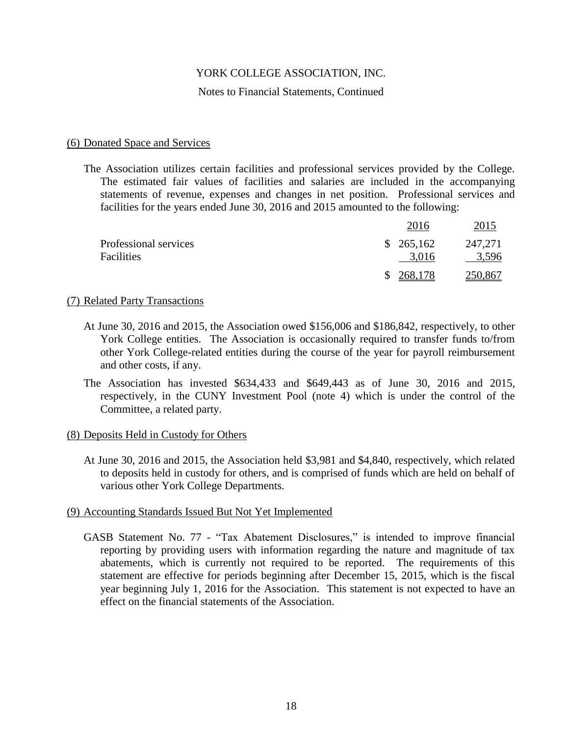### Notes to Financial Statements, Continued

#### (6) Donated Space and Services

The Association utilizes certain facilities and professional services provided by the College. The estimated fair values of facilities and salaries are included in the accompanying statements of revenue, expenses and changes in net position. Professional services and facilities for the years ended June 30, 2016 and 2015 amounted to the following:

|                                     | 2016               | 2015             |
|-------------------------------------|--------------------|------------------|
| Professional services<br>Facilities | \$265,162<br>3,016 | 247,271<br>3,596 |
|                                     | \$268,178          | 250,867          |

### (7) Related Party Transactions

- At June 30, 2016 and 2015, the Association owed \$156,006 and \$186,842, respectively, to other York College entities. The Association is occasionally required to transfer funds to/from other York College-related entities during the course of the year for payroll reimbursement and other costs, if any.
- The Association has invested \$634,433 and \$649,443 as of June 30, 2016 and 2015, respectively, in the CUNY Investment Pool (note 4) which is under the control of the Committee, a related party.

## (8) Deposits Held in Custody for Others

At June 30, 2016 and 2015, the Association held \$3,981 and \$4,840, respectively, which related to deposits held in custody for others, and is comprised of funds which are held on behalf of various other York College Departments.

## (9) Accounting Standards Issued But Not Yet Implemented

GASB Statement No. 77 - "Tax Abatement Disclosures," is intended to improve financial reporting by providing users with information regarding the nature and magnitude of tax abatements, which is currently not required to be reported. The requirements of this statement are effective for periods beginning after December 15, 2015, which is the fiscal year beginning July 1, 2016 for the Association. This statement is not expected to have an effect on the financial statements of the Association.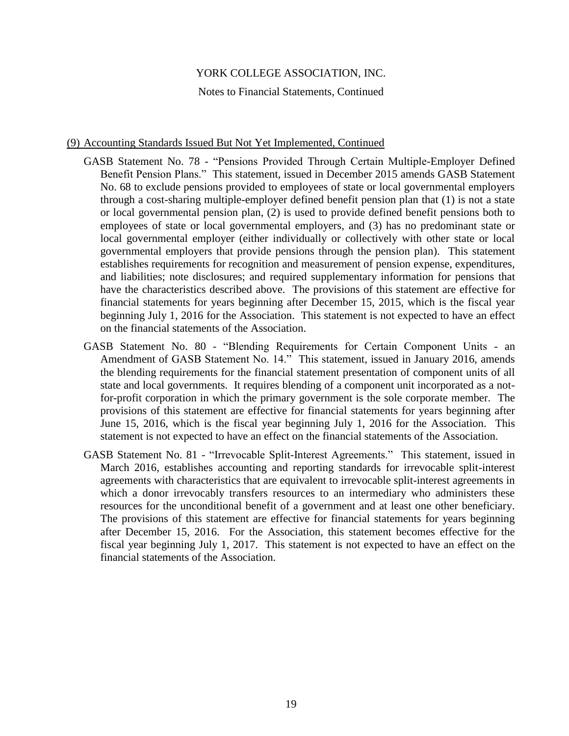#### Notes to Financial Statements, Continued

### (9) Accounting Standards Issued But Not Yet Implemented, Continued

- GASB Statement No. 78 "Pensions Provided Through Certain Multiple-Employer Defined Benefit Pension Plans." This statement, issued in December 2015 amends GASB Statement No. 68 to exclude pensions provided to employees of state or local governmental employers through a cost-sharing multiple-employer defined benefit pension plan that (1) is not a state or local governmental pension plan, (2) is used to provide defined benefit pensions both to employees of state or local governmental employers, and (3) has no predominant state or local governmental employer (either individually or collectively with other state or local governmental employers that provide pensions through the pension plan). This statement establishes requirements for recognition and measurement of pension expense, expenditures, and liabilities; note disclosures; and required supplementary information for pensions that have the characteristics described above. The provisions of this statement are effective for financial statements for years beginning after December 15, 2015, which is the fiscal year beginning July 1, 2016 for the Association. This statement is not expected to have an effect on the financial statements of the Association.
- GASB Statement No. 80 "Blending Requirements for Certain Component Units an Amendment of GASB Statement No. 14." This statement, issued in January 2016, amends the blending requirements for the financial statement presentation of component units of all state and local governments. It requires blending of a component unit incorporated as a notfor-profit corporation in which the primary government is the sole corporate member. The provisions of this statement are effective for financial statements for years beginning after June 15, 2016, which is the fiscal year beginning July 1, 2016 for the Association. This statement is not expected to have an effect on the financial statements of the Association.
- GASB Statement No. 81 "Irrevocable Split-Interest Agreements." This statement, issued in March 2016, establishes accounting and reporting standards for irrevocable split-interest agreements with characteristics that are equivalent to irrevocable split-interest agreements in which a donor irrevocably transfers resources to an intermediary who administers these resources for the unconditional benefit of a government and at least one other beneficiary. The provisions of this statement are effective for financial statements for years beginning after December 15, 2016. For the Association, this statement becomes effective for the fiscal year beginning July 1, 2017. This statement is not expected to have an effect on the financial statements of the Association.